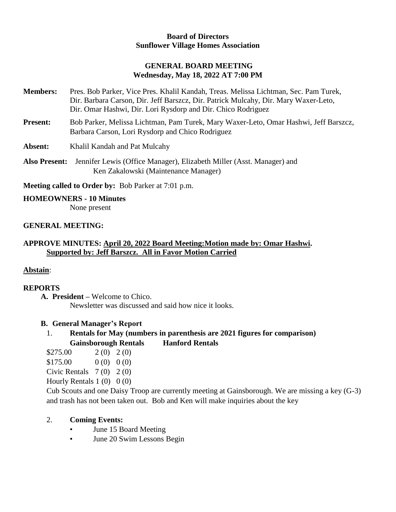#### **Board of Directors Sunflower Village Homes Association**

## **GENERAL BOARD MEETING Wednesday, May 18, 2022 AT 7:00 PM**

- **Members:** Pres. Bob Parker, Vice Pres. Khalil Kandah, Treas. Melissa Lichtman, Sec. Pam Turek, Dir. Barbara Carson, Dir. Jeff Barszcz, Dir. Patrick Mulcahy, Dir. Mary Waxer-Leto, Dir. Omar Hashwi, Dir. Lori Rysdorp and Dir. Chico Rodriguez
- **Present:** Bob Parker, Melissa Lichtman, Pam Turek, Mary Waxer-Leto, Omar Hashwi, Jeff Barszcz, Barbara Carson, Lori Rysdorp and Chico Rodriguez

**Absent:** Khalil Kandah and Pat Mulcahy

**Also Present:** Jennifer Lewis (Office Manager), Elizabeth Miller (Asst. Manager) and Ken Zakalowski (Maintenance Manager)

**Meeting called to Order by:** Bob Parker at 7:01 p.m.

**HOMEOWNERS - 10 Minutes** None present

## **GENERAL MEETING:**

# **APPROVE MINUTES: April 20, 2022 Board Meeting:Motion made by: Omar Hashwi. Supported by: Jeff Barszcz. All in Favor Motion Carried**

## **Abstain**:

## **REPORTS**

**A. President –** Welcome to Chico. Newsletter was discussed and said how nice it looks.

## **B. General Manager's Report**

# 1. **Rentals for May (numbers in parenthesis are 2021 figures for comparison) Gainsborough Rentals Hanford Rentals**

- $$275.00$  2(0) 2(0)
- $$175.00$  0 (0) 0 (0)
- Civic Rentals  $7(0)$   $2(0)$
- Hourly Rentals  $1(0)$   $0(0)$

Cub Scouts and one Daisy Troop are currently meeting at Gainsborough. We are missing a key (G-3) and trash has not been taken out. Bob and Ken will make inquiries about the key

## 2. **Coming Events:**

- June 15 Board Meeting
- June 20 Swim Lessons Begin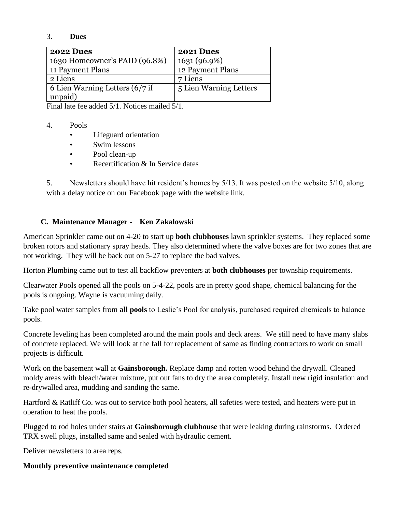#### 3. **Dues**

| <b>2022 Dues</b>                  | 2021 Dues              |
|-----------------------------------|------------------------|
| 1630 Homeowner's PAID (96.8%)     | 1631(96.9%)            |
| 11 Payment Plans                  | 12 Payment Plans       |
| 2 Liens                           | 7 Liens                |
| 6 Lien Warning Letters $(6/7)$ if | 5 Lien Warning Letters |
| unpaid)                           |                        |

Final late fee added 5/1. Notices mailed 5/1.

#### 4. Pools

- Lifeguard orientation
- Swim lessons
- Pool clean-up
- Recertification & In Service dates

5. Newsletters should have hit resident's homes by 5/13. It was posted on the website 5/10, along with a delay notice on our Facebook page with the website link.

## **C. Maintenance Manager - Ken Zakalowski**

American Sprinkler came out on 4-20 to start up **both clubhouses** lawn sprinkler systems. They replaced some broken rotors and stationary spray heads. They also determined where the valve boxes are for two zones that are not working. They will be back out on 5-27 to replace the bad valves.

Horton Plumbing came out to test all backflow preventers at **both clubhouses** per township requirements.

Clearwater Pools opened all the pools on 5-4-22, pools are in pretty good shape, chemical balancing for the pools is ongoing. Wayne is vacuuming daily.

Take pool water samples from **all pools** to Leslie's Pool for analysis, purchased required chemicals to balance pools.

Concrete leveling has been completed around the main pools and deck areas. We still need to have many slabs of concrete replaced. We will look at the fall for replacement of same as finding contractors to work on small projects is difficult.

Work on the basement wall at **Gainsborough.** Replace damp and rotten wood behind the drywall. Cleaned moldy areas with bleach/water mixture, put out fans to dry the area completely. Install new rigid insulation and re-drywalled area, mudding and sanding the same.

Hartford & Ratliff Co. was out to service both pool heaters, all safeties were tested, and heaters were put in operation to heat the pools.

Plugged to rod holes under stairs at **Gainsborough clubhouse** that were leaking during rainstorms. Ordered TRX swell plugs, installed same and sealed with hydraulic cement.

Deliver newsletters to area reps.

## **Monthly preventive maintenance completed**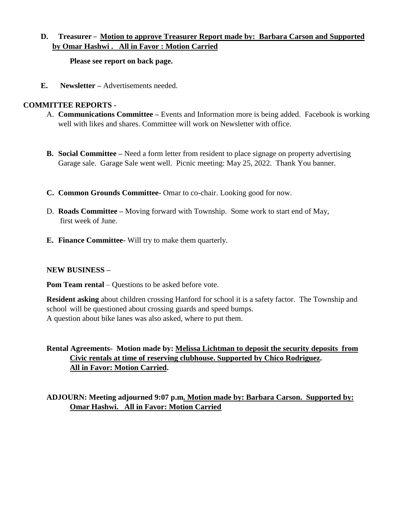## **D. Treasurer** – **Motion to approve Treasurer Report made by: Barbara Carson and Supported by Omar Hashwi . All in Favor : Motion Carried**

**Please see report on back page.**

**E.** Newsletter – Advertisements needed.

## **COMMITTEE REPORTS -**

- A. **Communications Committee –** Events and Information more is being added. Facebook is working well with likes and shares. Committee will work on Newsletter with office.
- **B. Social Committee –** Need a form letter from resident to place signage on property advertising Garage sale. Garage Sale went well. Picnic meeting: May 25, 2022. Thank You banner.
- **C. Common Grounds Committee-** Omar to co-chair. Looking good for now.
- D. **Roads Committee –** Moving forward with Township. Some work to start end of May, first week of June.
- **E. Finance Committee-** Will try to make them quarterly.

## **NEW BUSINESS –**

**Pom Team rental** – Questions to be asked before vote.

**Resident asking** about children crossing Hanford for school it is a safety factor. The Township and school will be questioned about crossing guards and speed bumps. A question about bike lanes was also asked, where to put them.

# **Rental Agreements- Motion made by: Melissa Lichtman to deposit the security deposits from Civic rentals at time of reserving clubhouse. Supported by Chico Rodriguez. All in Favor: Motion Carried.**

**ADJOURN: Meeting adjourned 9:07 p.m. Motion made by: Barbara Carson. Supported by: Omar Hashwi. All in Favor: Motion Carried**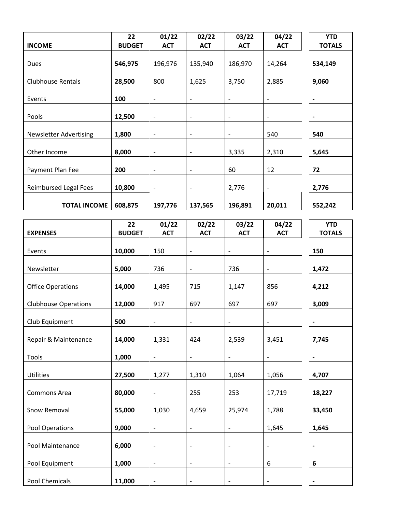|                               | 22            | 01/22                    | 02/22                        | 03/22                    | 04/22                        | <b>YTD</b>    |
|-------------------------------|---------------|--------------------------|------------------------------|--------------------------|------------------------------|---------------|
| <b>INCOME</b>                 | <b>BUDGET</b> | <b>ACT</b>               | <b>ACT</b>                   | <b>ACT</b>               | <b>ACT</b>                   | <b>TOTALS</b> |
| Dues                          | 546,975       | 196,976                  | 135,940                      | 186,970                  | 14,264                       | 534,149       |
| <b>Clubhouse Rentals</b>      | 28,500        | 800                      | 1,625                        | 3,750                    | 2,885                        | 9,060         |
|                               |               |                          |                              |                          |                              |               |
| Events                        | 100           | $\overline{\phantom{a}}$ | -                            | $\overline{\phantom{a}}$ | $\qquad \qquad \blacksquare$ |               |
| Pools                         | 12,500        | $\overline{\phantom{a}}$ | $\overline{\phantom{0}}$     | $\qquad \qquad -$        | $\overline{\phantom{m}}$     |               |
| <b>Newsletter Advertising</b> | 1,800         | $\overline{\phantom{a}}$ | $\qquad \qquad -$            | $\overline{\phantom{a}}$ | 540                          | 540           |
| Other Income                  | 8,000         | $\blacksquare$           | $\qquad \qquad -$            | 3,335                    | 2,310                        | 5,645         |
| Payment Plan Fee              | 200           | $\overline{\phantom{a}}$ | $\overline{\phantom{a}}$     | 60                       | 12                           | 72            |
|                               |               |                          |                              |                          |                              |               |
| <b>Reimbursed Legal Fees</b>  | 10,800        | $\overline{\phantom{a}}$ | $\qquad \qquad \blacksquare$ | 2,776                    | $\overline{\phantom{a}}$     | 2,776         |
| <b>TOTAL INCOME</b>           | 608,875       | 197,776                  | 137,565                      | 196,891                  | 20,011                       | 552,242       |
|                               |               |                          |                              |                          |                              |               |
|                               | 22            | 01/22                    | 02/22                        | 03/22                    | 04/22                        | <b>YTD</b>    |
| <b>EXPENSES</b>               | <b>BUDGET</b> | <b>ACT</b>               | <b>ACT</b>                   | <b>ACT</b>               | <b>ACT</b>                   | <b>TOTALS</b> |
| Events                        | 10,000        | 150                      | $\overline{\phantom{a}}$     | $\overline{\phantom{a}}$ | $\qquad \qquad -$            | 150           |
| Newsletter                    | 5,000         | 736                      | $\qquad \qquad -$            | 736                      | $\qquad \qquad -$            | 1,472         |
| <b>Office Operations</b>      | 14,000        | 1,495                    | 715                          | 1,147                    | 856                          | 4,212         |
| <b>Clubhouse Operations</b>   | 12,000        | 917                      | 697                          | 697                      | 697                          | 3,009         |
| Club Equipment                | 500           |                          |                              |                          | $\overline{\phantom{a}}$     |               |
|                               |               |                          |                              |                          |                              |               |
| Repair & Maintenance          | 14,000        | 1,331                    | 424                          | 2,539                    | 3,451                        | 7,745         |
| Tools                         | 1,000         | $\overline{\phantom{a}}$ | ۳                            | $\overline{\phantom{a}}$ | $\overline{\phantom{a}}$     |               |
| Utilities                     | 27,500        | 1,277                    | 1,310                        | 1,064                    | 1,056                        | 4,707         |
| Commons Area                  | 80,000        | $\overline{\phantom{a}}$ | 255                          | 253                      | 17,719                       | 18,227        |
| Snow Removal                  | 55,000        | 1,030                    | 4,659                        | 25,974                   | 1,788                        | 33,450        |
| Pool Operations               | 9,000         | $\overline{\phantom{a}}$ | $\qquad \qquad -$            | $\overline{\phantom{a}}$ | 1,645                        | 1,645         |
|                               | 6,000         |                          |                              |                          |                              |               |
| Pool Maintenance              |               | $\overline{\phantom{a}}$ | $\overline{\phantom{a}}$     | $\overline{\phantom{a}}$ | $\overline{\phantom{a}}$     |               |
| Pool Equipment                | 1,000         | $\overline{\phantom{a}}$ | $\qquad \qquad \blacksquare$ | $\overline{\phantom{a}}$ | 6                            | 6             |
| Pool Chemicals                | 11,000        | $\overline{\phantom{a}}$ |                              |                          | $\overline{\phantom{a}}$     |               |